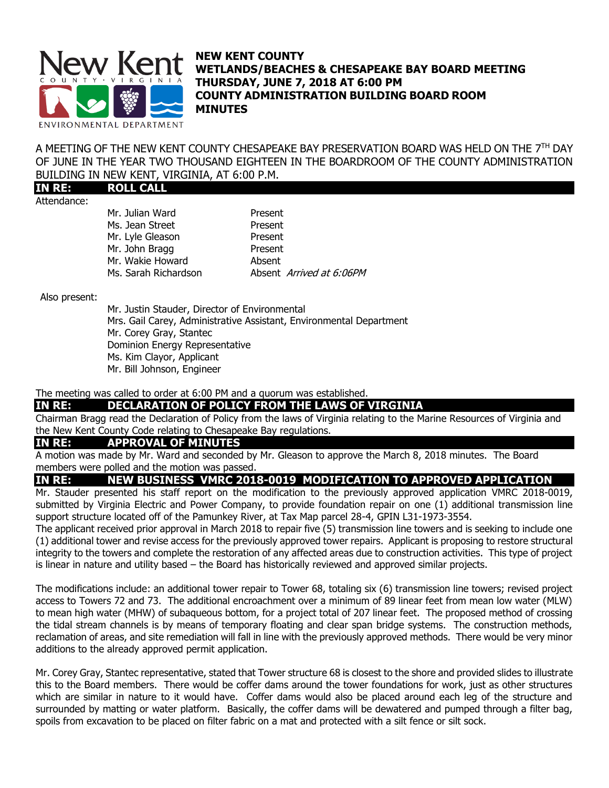

### **NEW KENT COUNTY WETLANDS/BEACHES & CHESAPEAKE BAY BOARD MEETING THURSDAY, JUNE 7, 2018 AT 6:00 PM COUNTY ADMINISTRATION BUILDING BOARD ROOM MINUTES**

A MEETING OF THE NEW KENT COUNTY CHESAPEAKE BAY PRESERVATION BOARD WAS HELD ON THE 7TH DAY OF JUNE IN THE YEAR TWO THOUSAND EIGHTEEN IN THE BOARDROOM OF THE COUNTY ADMINISTRATION BUILDING IN NEW KENT, VIRGINIA, AT 6:00 P.M.

**IN RE: ROLL CALL** Attendance:

Mr. Julian Ward **Present** Ms. Jean Street Present Mr. Lyle Gleason Present Mr. John Bragg Present Mr. Wakie Howard **Absent** Ms. Sarah Richardson Absent Arrived at 6:06PM

Also present:

Mr. Justin Stauder, Director of Environmental Mrs. Gail Carey, Administrative Assistant, Environmental Department Mr. Corey Gray, Stantec Dominion Energy Representative Ms. Kim Clayor, Applicant Mr. Bill Johnson, Engineer

#### The meeting was called to order at 6:00 PM and a quorum was established.

**IN RE: DECLARATION OF POLICY FROM THE LAWS OF VIRGINIA** 

Chairman Bragg read the Declaration of Policy from the laws of Virginia relating to the Marine Resources of Virginia and the New Kent County Code relating to Chesapeake Bay regulations.

### **IN RE: APPROVAL OF MINUTES**

A motion was made by Mr. Ward and seconded by Mr. Gleason to approve the March 8, 2018 minutes. The Board members were polled and the motion was passed.

# **IN RE: NEW BUSINESS VMRC 2018-0019 MODIFICATION TO APPROVED APPLICATION**

Mr. Stauder presented his staff report on the modification to the previously approved application VMRC 2018-0019, submitted by Virginia Electric and Power Company, to provide foundation repair on one (1) additional transmission line support structure located off of the Pamunkey River, at Tax Map parcel 28-4, GPIN L31-1973-3554.

The applicant received prior approval in March 2018 to repair five (5) transmission line towers and is seeking to include one (1) additional tower and revise access for the previously approved tower repairs. Applicant is proposing to restore structural integrity to the towers and complete the restoration of any affected areas due to construction activities. This type of project is linear in nature and utility based – the Board has historically reviewed and approved similar projects.

The modifications include: an additional tower repair to Tower 68, totaling six (6) transmission line towers; revised project access to Towers 72 and 73. The additional encroachment over a minimum of 89 linear feet from mean low water (MLW) to mean high water (MHW) of subaqueous bottom, for a project total of 207 linear feet. The proposed method of crossing the tidal stream channels is by means of temporary floating and clear span bridge systems. The construction methods, reclamation of areas, and site remediation will fall in line with the previously approved methods. There would be very minor additions to the already approved permit application.

Mr. Corey Gray, Stantec representative, stated that Tower structure 68 is closest to the shore and provided slides to illustrate this to the Board members. There would be coffer dams around the tower foundations for work, just as other structures which are similar in nature to it would have. Coffer dams would also be placed around each leg of the structure and surrounded by matting or water platform. Basically, the coffer dams will be dewatered and pumped through a filter bag, spoils from excavation to be placed on filter fabric on a mat and protected with a silt fence or silt sock.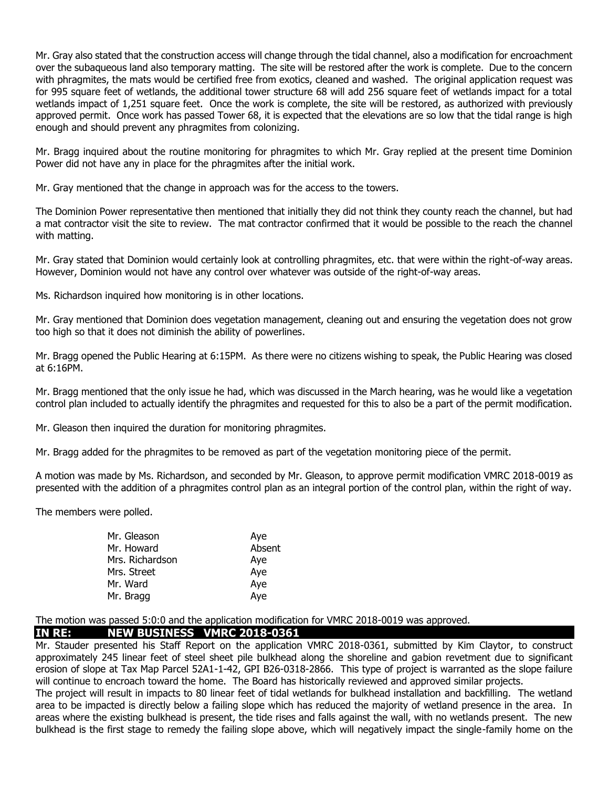Mr. Gray also stated that the construction access will change through the tidal channel, also a modification for encroachment over the subaqueous land also temporary matting. The site will be restored after the work is complete. Due to the concern with phragmites, the mats would be certified free from exotics, cleaned and washed. The original application request was for 995 square feet of wetlands, the additional tower structure 68 will add 256 square feet of wetlands impact for a total wetlands impact of 1,251 square feet. Once the work is complete, the site will be restored, as authorized with previously approved permit. Once work has passed Tower 68, it is expected that the elevations are so low that the tidal range is high enough and should prevent any phragmites from colonizing.

Mr. Bragg inquired about the routine monitoring for phragmites to which Mr. Gray replied at the present time Dominion Power did not have any in place for the phragmites after the initial work.

Mr. Gray mentioned that the change in approach was for the access to the towers.

The Dominion Power representative then mentioned that initially they did not think they county reach the channel, but had a mat contractor visit the site to review. The mat contractor confirmed that it would be possible to the reach the channel with matting.

Mr. Gray stated that Dominion would certainly look at controlling phragmites, etc. that were within the right-of-way areas. However, Dominion would not have any control over whatever was outside of the right-of-way areas.

Ms. Richardson inquired how monitoring is in other locations.

Mr. Gray mentioned that Dominion does vegetation management, cleaning out and ensuring the vegetation does not grow too high so that it does not diminish the ability of powerlines.

Mr. Bragg opened the Public Hearing at 6:15PM. As there were no citizens wishing to speak, the Public Hearing was closed at 6:16PM.

Mr. Bragg mentioned that the only issue he had, which was discussed in the March hearing, was he would like a vegetation control plan included to actually identify the phragmites and requested for this to also be a part of the permit modification.

Mr. Gleason then inquired the duration for monitoring phragmites.

Mr. Bragg added for the phragmites to be removed as part of the vegetation monitoring piece of the permit.

A motion was made by Ms. Richardson, and seconded by Mr. Gleason, to approve permit modification VMRC 2018-0019 as presented with the addition of a phragmites control plan as an integral portion of the control plan, within the right of way.

The members were polled.

| Mr. Gleason     | Aye    |
|-----------------|--------|
| Mr. Howard      | Absent |
| Mrs. Richardson | Aye    |
| Mrs. Street     | Aye    |
| Mr. Ward        | Aye    |
| Mr. Bragg       | Aye    |

The motion was passed 5:0:0 and the application modification for VMRC 2018-0019 was approved.

#### **IN RE: NEW BUSINESS VMRC 2018-0361**

Mr. Stauder presented his Staff Report on the application VMRC 2018-0361, submitted by Kim Claytor, to construct approximately 245 linear feet of steel sheet pile bulkhead along the shoreline and gabion revetment due to significant erosion of slope at Tax Map Parcel 52A1-1-42, GPI B26-0318-2866. This type of project is warranted as the slope failure will continue to encroach toward the home. The Board has historically reviewed and approved similar projects.

The project will result in impacts to 80 linear feet of tidal wetlands for bulkhead installation and backfilling. The wetland area to be impacted is directly below a failing slope which has reduced the majority of wetland presence in the area. In areas where the existing bulkhead is present, the tide rises and falls against the wall, with no wetlands present. The new bulkhead is the first stage to remedy the failing slope above, which will negatively impact the single-family home on the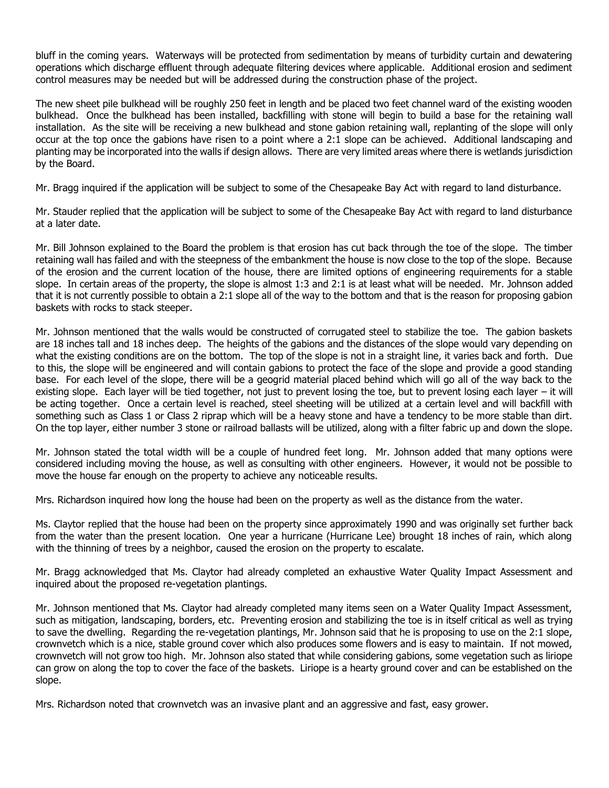bluff in the coming years. Waterways will be protected from sedimentation by means of turbidity curtain and dewatering operations which discharge effluent through adequate filtering devices where applicable. Additional erosion and sediment control measures may be needed but will be addressed during the construction phase of the project.

The new sheet pile bulkhead will be roughly 250 feet in length and be placed two feet channel ward of the existing wooden bulkhead. Once the bulkhead has been installed, backfilling with stone will begin to build a base for the retaining wall installation. As the site will be receiving a new bulkhead and stone gabion retaining wall, replanting of the slope will only occur at the top once the gabions have risen to a point where a 2:1 slope can be achieved. Additional landscaping and planting may be incorporated into the walls if design allows. There are very limited areas where there is wetlands jurisdiction by the Board.

Mr. Bragg inquired if the application will be subject to some of the Chesapeake Bay Act with regard to land disturbance.

Mr. Stauder replied that the application will be subject to some of the Chesapeake Bay Act with regard to land disturbance at a later date.

Mr. Bill Johnson explained to the Board the problem is that erosion has cut back through the toe of the slope. The timber retaining wall has failed and with the steepness of the embankment the house is now close to the top of the slope. Because of the erosion and the current location of the house, there are limited options of engineering requirements for a stable slope. In certain areas of the property, the slope is almost 1:3 and 2:1 is at least what will be needed. Mr. Johnson added that it is not currently possible to obtain a 2:1 slope all of the way to the bottom and that is the reason for proposing gabion baskets with rocks to stack steeper.

Mr. Johnson mentioned that the walls would be constructed of corrugated steel to stabilize the toe. The gabion baskets are 18 inches tall and 18 inches deep. The heights of the gabions and the distances of the slope would vary depending on what the existing conditions are on the bottom. The top of the slope is not in a straight line, it varies back and forth. Due to this, the slope will be engineered and will contain gabions to protect the face of the slope and provide a good standing base. For each level of the slope, there will be a geogrid material placed behind which will go all of the way back to the existing slope. Each layer will be tied together, not just to prevent losing the toe, but to prevent losing each layer – it will be acting together. Once a certain level is reached, steel sheeting will be utilized at a certain level and will backfill with something such as Class 1 or Class 2 riprap which will be a heavy stone and have a tendency to be more stable than dirt. On the top layer, either number 3 stone or railroad ballasts will be utilized, along with a filter fabric up and down the slope.

Mr. Johnson stated the total width will be a couple of hundred feet long. Mr. Johnson added that many options were considered including moving the house, as well as consulting with other engineers. However, it would not be possible to move the house far enough on the property to achieve any noticeable results.

Mrs. Richardson inquired how long the house had been on the property as well as the distance from the water.

Ms. Claytor replied that the house had been on the property since approximately 1990 and was originally set further back from the water than the present location. One year a hurricane (Hurricane Lee) brought 18 inches of rain, which along with the thinning of trees by a neighbor, caused the erosion on the property to escalate.

Mr. Bragg acknowledged that Ms. Claytor had already completed an exhaustive Water Quality Impact Assessment and inquired about the proposed re-vegetation plantings.

Mr. Johnson mentioned that Ms. Claytor had already completed many items seen on a Water Quality Impact Assessment, such as mitigation, landscaping, borders, etc. Preventing erosion and stabilizing the toe is in itself critical as well as trying to save the dwelling. Regarding the re-vegetation plantings, Mr. Johnson said that he is proposing to use on the 2:1 slope, crownvetch which is a nice, stable ground cover which also produces some flowers and is easy to maintain. If not mowed, crownvetch will not grow too high. Mr. Johnson also stated that while considering gabions, some vegetation such as liriope can grow on along the top to cover the face of the baskets. Liriope is a hearty ground cover and can be established on the slope.

Mrs. Richardson noted that crownvetch was an invasive plant and an aggressive and fast, easy grower.